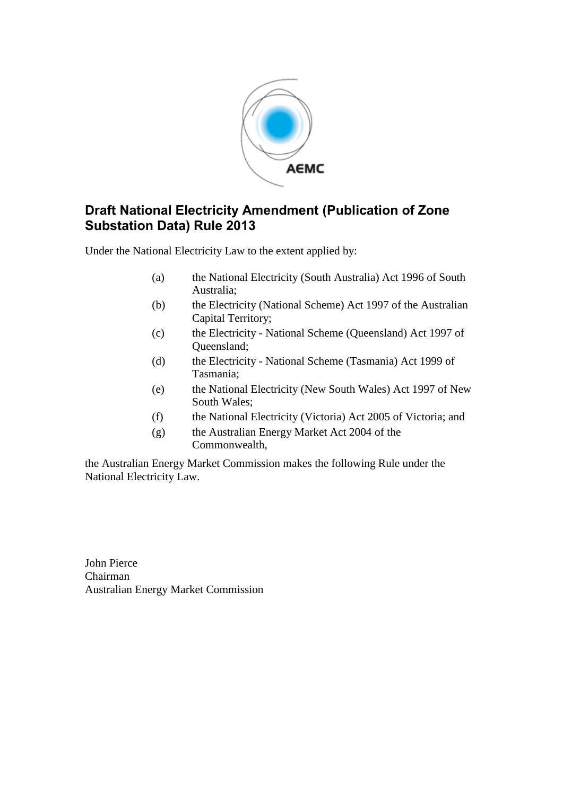

## **Draft National Electricity Amendment (Publication of Zone Substation Data) Rule 2013**

Under the National Electricity Law to the extent applied by:

- (a) the National Electricity (South Australia) Act 1996 of South Australia;
- (b) the Electricity (National Scheme) Act 1997 of the Australian Capital Territory;
- (c) the Electricity National Scheme (Queensland) Act 1997 of Queensland;
- (d) the Electricity National Scheme (Tasmania) Act 1999 of Tasmania;
- (e) the National Electricity (New South Wales) Act 1997 of New South Wales;
- (f) the National Electricity (Victoria) Act 2005 of Victoria; and
- (g) the Australian Energy Market Act 2004 of the Commonwealth,

the Australian Energy Market Commission makes the following Rule under the National Electricity Law.

John Pierce Chairman Australian Energy Market Commission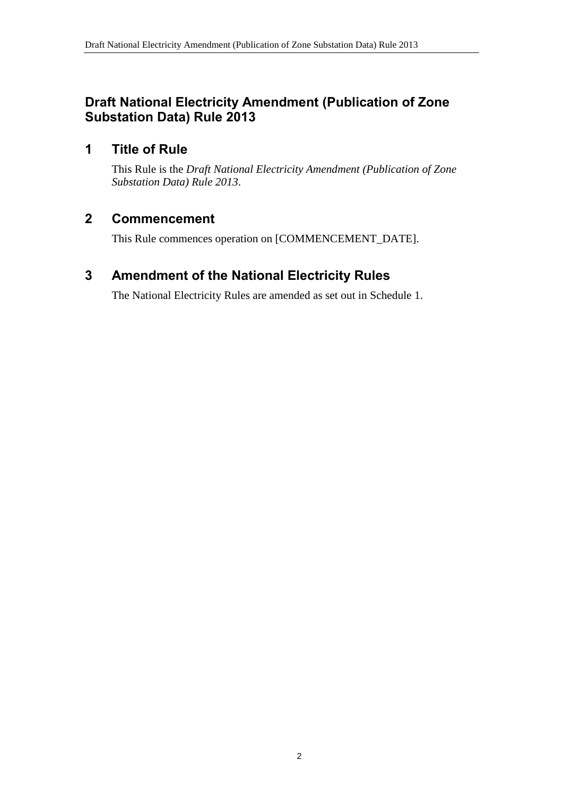## **Draft National Electricity Amendment (Publication of Zone Substation Data) Rule 2013**

## **1 Title of Rule**

This Rule is the *Draft National Electricity Amendment (Publication of Zone Substation Data) Rule 2013*.

## **2 Commencement**

This Rule commences operation on [COMMENCEMENT\_DATE].

## <span id="page-1-0"></span>**3 Amendment of the National Electricity Rules**

The National Electricity Rules are amended as set out in [Schedule 1.](#page-2-0)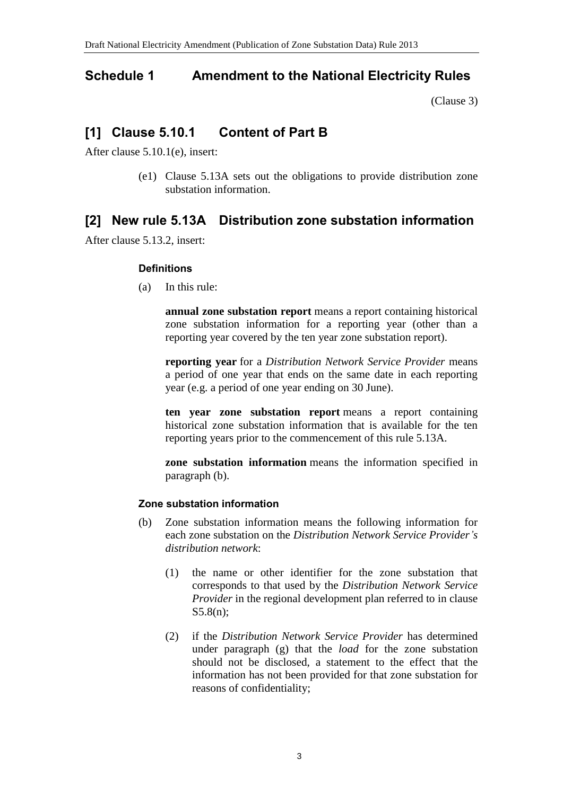## <span id="page-2-0"></span>**Schedule 1 Amendment to the National Electricity Rules**

[\(Clause 3\)](#page-1-0)

# **[1] Clause 5.10.1 Content of Part B**

After clause 5.10.1(e), insert:

(e1) Clause 5.13A sets out the obligations to provide distribution zone substation information.

# **[2] New rule 5.13A Distribution zone substation information**

After clause 5.13.2, insert:

## **Definitions**

(a) In this rule:

**annual zone substation report** means a report containing historical zone substation information for a reporting year (other than a reporting year covered by the ten year zone substation report).

**reporting year** for a *Distribution Network Service Provider* means a period of one year that ends on the same date in each reporting year (e.g. a period of one year ending on 30 June).

**ten year zone substation report** means a report containing historical zone substation information that is available for the ten reporting years prior to the commencement of this rule 5.13A.

**zone substation information** means the information specified in paragraph (b).

## **Zone substation information**

- (b) Zone substation information means the following information for each zone substation on the *Distribution Network Service Provider's distribution network*:
	- (1) the name or other identifier for the zone substation that corresponds to that used by the *Distribution Network Service Provider* in the regional development plan referred to in clause S5.8(n);
	- (2) if the *Distribution Network Service Provider* has determined under paragraph (g) that the *load* for the zone substation should not be disclosed, a statement to the effect that the information has not been provided for that zone substation for reasons of confidentiality;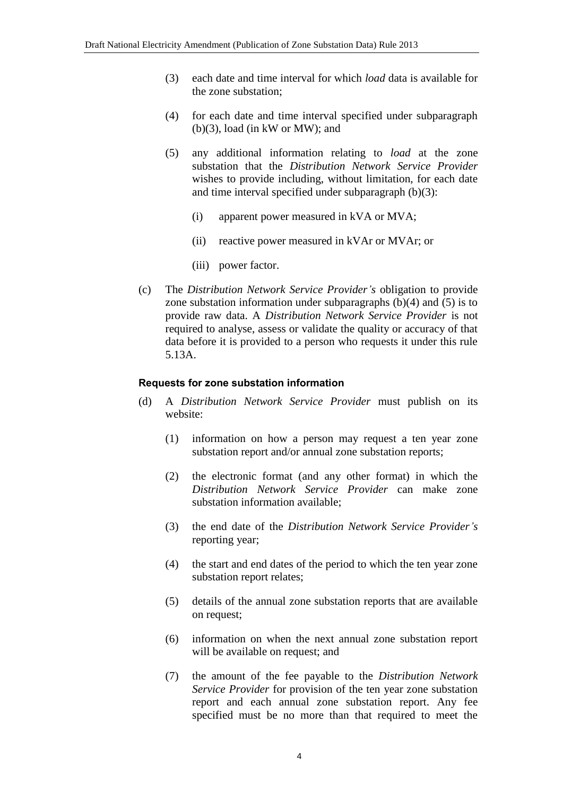- (3) each date and time interval for which *load* data is available for the zone substation;
- (4) for each date and time interval specified under subparagraph (b)(3), load (in kW or MW); and
- (5) any additional information relating to *load* at the zone substation that the *Distribution Network Service Provider* wishes to provide including, without limitation, for each date and time interval specified under subparagraph (b)(3):
	- (i) apparent power measured in kVA or MVA;
	- (ii) reactive power measured in kVAr or MVAr; or
	- (iii) power factor.
- (c) The *Distribution Network Service Provider's* obligation to provide zone substation information under subparagraphs (b)(4) and (5) is to provide raw data. A *Distribution Network Service Provider* is not required to analyse, assess or validate the quality or accuracy of that data before it is provided to a person who requests it under this rule 5.13A.

#### **Requests for zone substation information**

- (d) A *Distribution Network Service Provider* must publish on its website:
	- (1) information on how a person may request a ten year zone substation report and/or annual zone substation reports;
	- (2) the electronic format (and any other format) in which the *Distribution Network Service Provider* can make zone substation information available;
	- (3) the end date of the *Distribution Network Service Provider's* reporting year;
	- (4) the start and end dates of the period to which the ten year zone substation report relates;
	- (5) details of the annual zone substation reports that are available on request;
	- (6) information on when the next annual zone substation report will be available on request; and
	- (7) the amount of the fee payable to the *Distribution Network Service Provider* for provision of the ten year zone substation report and each annual zone substation report. Any fee specified must be no more than that required to meet the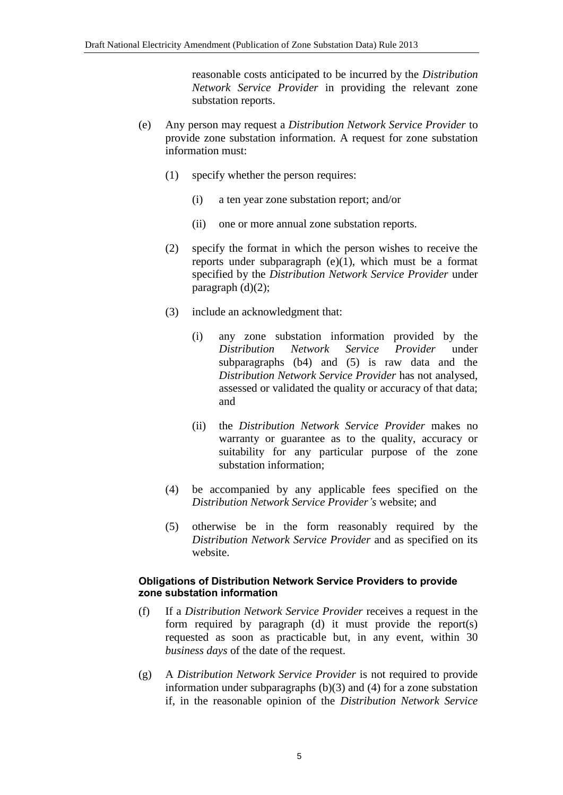reasonable costs anticipated to be incurred by the *Distribution Network Service Provider* in providing the relevant zone substation reports.

- (e) Any person may request a *Distribution Network Service Provider* to provide zone substation information. A request for zone substation information must:
	- (1) specify whether the person requires:
		- (i) a ten year zone substation report; and/or
		- (ii) one or more annual zone substation reports.
	- (2) specify the format in which the person wishes to receive the reports under subparagraph (e)(1), which must be a format specified by the *Distribution Network Service Provider* under paragraph  $(d)(2)$ ;
	- (3) include an acknowledgment that:
		- (i) any zone substation information provided by the *Distribution Network Service Provider* under subparagraphs (b4) and (5) is raw data and the *Distribution Network Service Provider* has not analysed, assessed or validated the quality or accuracy of that data; and
		- (ii) the *Distribution Network Service Provider* makes no warranty or guarantee as to the quality, accuracy or suitability for any particular purpose of the zone substation information;
	- (4) be accompanied by any applicable fees specified on the *Distribution Network Service Provider's* website; and
	- (5) otherwise be in the form reasonably required by the *Distribution Network Service Provider* and as specified on its website.

### **Obligations of Distribution Network Service Providers to provide zone substation information**

- (f) If a *Distribution Network Service Provider* receives a request in the form required by paragraph (d) it must provide the report(s) requested as soon as practicable but, in any event, within 30 *business days* of the date of the request.
- (g) A *Distribution Network Service Provider* is not required to provide information under subparagraphs (b)(3) and (4) for a zone substation if, in the reasonable opinion of the *Distribution Network Service*